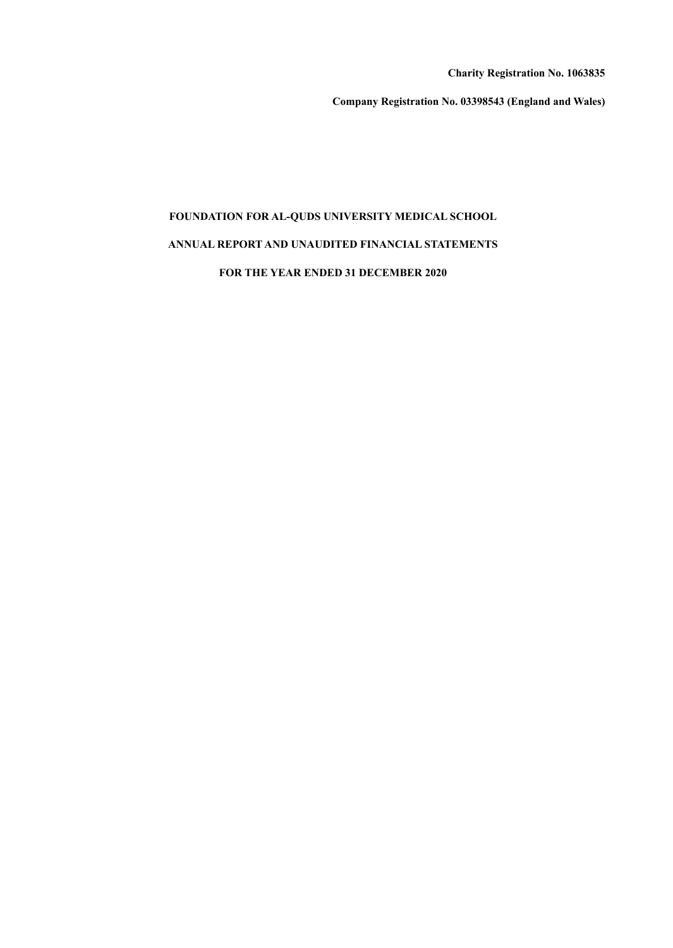**Charity Registration No. 1063835**

**Company Registration No. 03398543 (England and Wales)**

# **FOUNDATION FOR AL-QUDS UNIVERSITY MEDICAL SCHOOL**

# **ANNUAL REPORT AND UNAUDITED FINANCIAL STATEMENTS**

**FOR THE YEAR ENDED 31 DECEMBER 2020**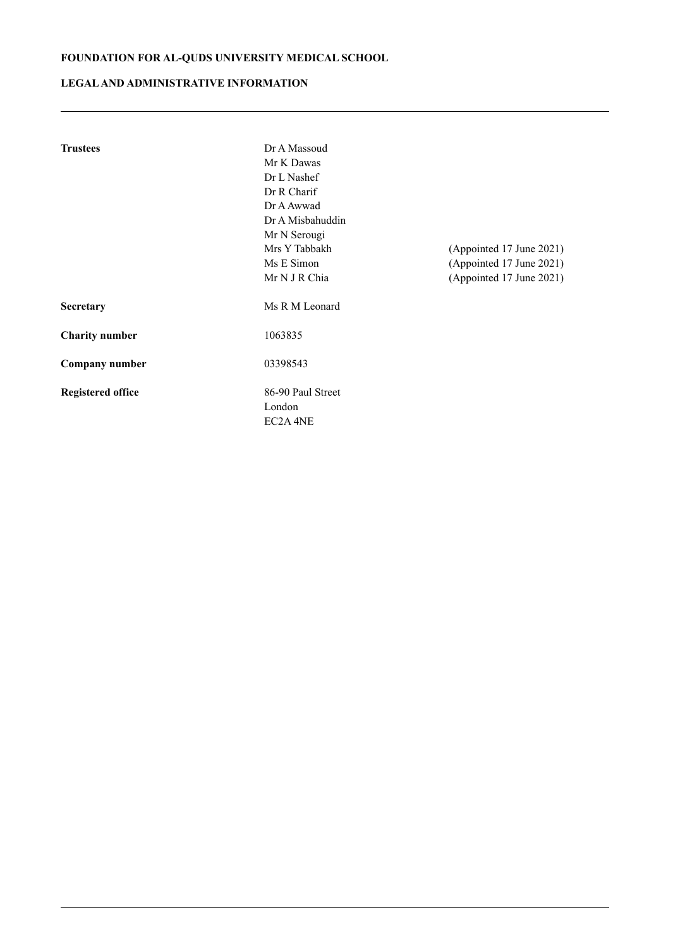# **LEGALAND ADMINISTRATIVE INFORMATION**

| <b>Trustees</b>          | Dr A Massoud        |                          |  |  |  |  |  |
|--------------------------|---------------------|--------------------------|--|--|--|--|--|
|                          | Mr K Dawas          |                          |  |  |  |  |  |
|                          | Dr L Nashef         |                          |  |  |  |  |  |
|                          | Dr R Charif         |                          |  |  |  |  |  |
|                          | Dr A Awwad          |                          |  |  |  |  |  |
|                          | Dr A Misbahuddin    |                          |  |  |  |  |  |
|                          | Mr N Serougi        |                          |  |  |  |  |  |
|                          | Mrs Y Tabbakh       | (Appointed 17 June 2021) |  |  |  |  |  |
|                          | Ms E Simon          | (Appointed 17 June 2021) |  |  |  |  |  |
|                          | Mr N J R Chia       | (Appointed 17 June 2021) |  |  |  |  |  |
| Secretary                | Ms R M Leonard      |                          |  |  |  |  |  |
| <b>Charity number</b>    | 1063835             |                          |  |  |  |  |  |
| Company number           | 03398543            |                          |  |  |  |  |  |
| <b>Registered office</b> | 86-90 Paul Street   |                          |  |  |  |  |  |
|                          | London              |                          |  |  |  |  |  |
|                          | EC2A <sub>4NE</sub> |                          |  |  |  |  |  |
|                          |                     |                          |  |  |  |  |  |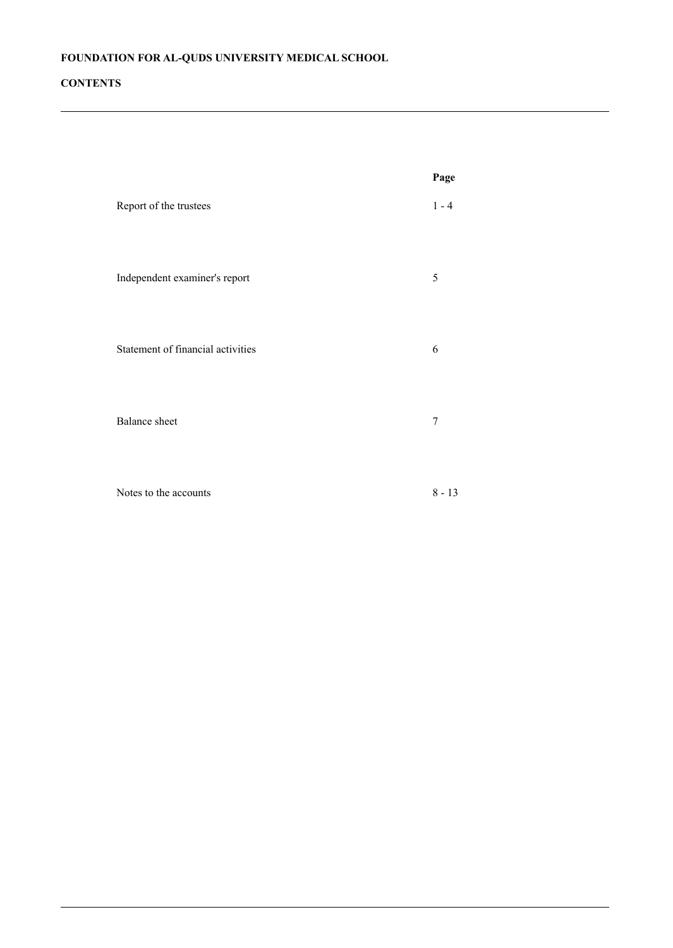# **CONTENTS**

|                                   | Page     |
|-----------------------------------|----------|
| Report of the trustees            | $1 - 4$  |
| Independent examiner's report     | 5        |
| Statement of financial activities | 6        |
| <b>Balance</b> sheet              | 7        |
| Notes to the accounts             | $8 - 13$ |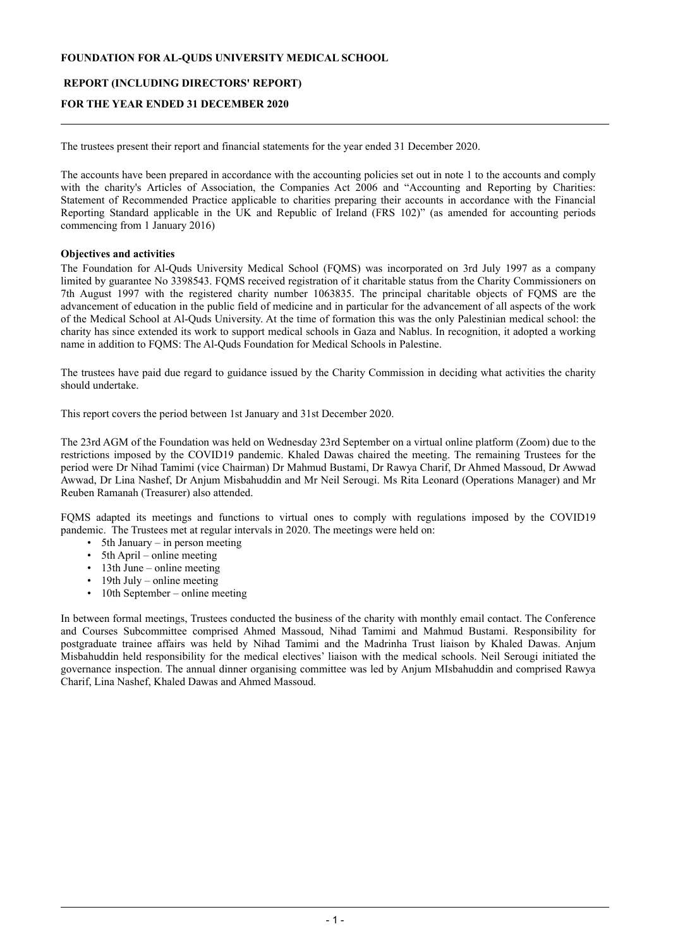# **REPORT (INCLUDING DIRECTORS' REPORT)**

# **FOR THE YEAR ENDED 31 DECEMBER 2020**

The trustees present their report and financial statements for the year ended 31 December 2020.

The accounts have been prepared in accordance with the accounting policies set out in note 1 to the accounts and comply with the charity's Articles of Association, the Companies Act 2006 and "Accounting and Reporting by Charities: Statement of Recommended Practice applicable to charities preparing their accounts in accordance with the Financial Reporting Standard applicable in the UK and Republic of Ireland (FRS 102)" (as amended for accounting periods commencing from 1 January 2016)

#### **Objectives and activities**

The Foundation for Al-Quds University Medical School (FQMS) was incorporated on 3rd July 1997 as a company limited by guarantee No 3398543. FQMS received registration of it charitable status from the Charity Commissioners on 7th August 1997 with the registered charity number 1063835. The principal charitable objects of FQMS are the advancement of education in the public field of medicine and in particular for the advancement of all aspects of the work of the Medical School at Al-Quds University. At the time of formation this was the only Palestinian medical school: the charity has since extended its work to support medical schools in Gaza and Nablus. In recognition, it adopted a working name in addition to FQMS: The Al-Quds Foundation for Medical Schools in Palestine.

The trustees have paid due regard to guidance issued by the Charity Commission in deciding what activities the charity should undertake.

This report covers the period between 1st January and 31st December 2020.

The 23rd AGM of the Foundation was held on Wednesday 23rd September on a virtual online platform (Zoom) due to the restrictions imposed by the COVID19 pandemic. Khaled Dawas chaired the meeting. The remaining Trustees for the period were Dr Nihad Tamimi (vice Chairman) Dr Mahmud Bustami, Dr Rawya Charif, Dr Ahmed Massoud, Dr Awwad Awwad, Dr Lina Nashef, Dr Anjum Misbahuddin and Mr Neil Serougi. Ms Rita Leonard (Operations Manager) and Mr Reuben Ramanah (Treasurer) also attended.

FQMS adapted its meetings and functions to virtual ones to comply with regulations imposed by the COVID19 pandemic. The Trustees met at regular intervals in 2020. The meetings were held on:

- 5th January in person meeting
- 5th April online meeting
- $\cdot$  13th June online meeting
- $\cdot$  19th July online meeting
- 10th September online meeting

In between formal meetings, Trustees conducted the business of the charity with monthly email contact. The Conference and Courses Subcommittee comprised Ahmed Massoud, Nihad Tamimi and Mahmud Bustami. Responsibility for postgraduate trainee affairs was held by Nihad Tamimi and the Madrinha Trust liaison by Khaled Dawas. Anjum Misbahuddin held responsibility for the medical electives' liaison with the medical schools. Neil Serougi initiated the governance inspection. The annual dinner organising committee was led by Anjum MIsbahuddin and comprised Rawya Charif, Lina Nashef, Khaled Dawas and Ahmed Massoud.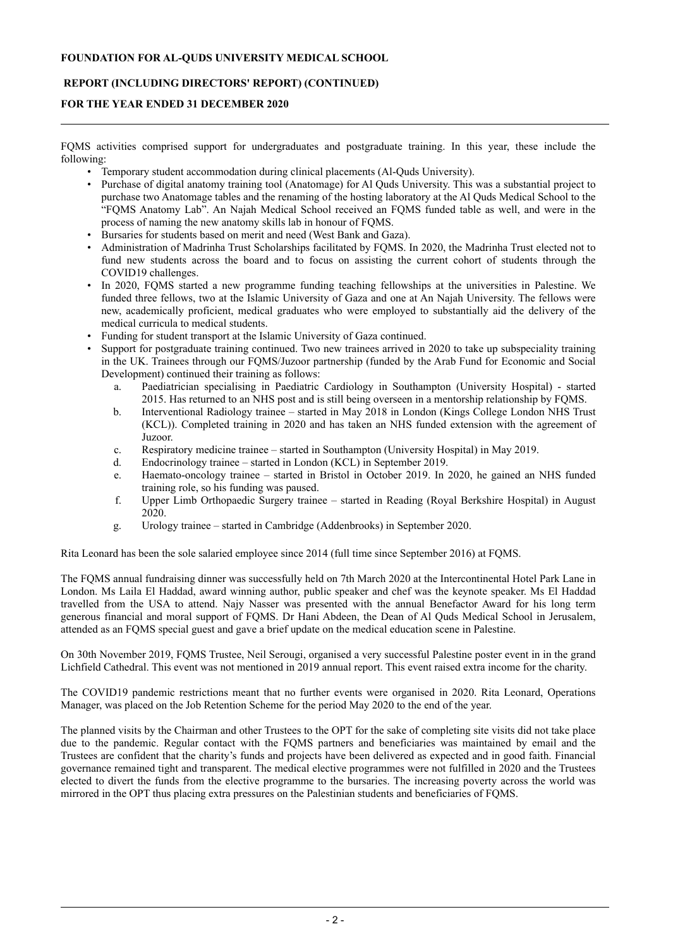# **REPORT (INCLUDING DIRECTORS' REPORT) (CONTINUED)**

# **FOR THE YEAR ENDED 31 DECEMBER 2020**

FQMS activities comprised support for undergraduates and postgraduate training. In this year, these include the following:

- Temporary student accommodation during clinical placements (Al-Quds University).
- Purchase of digital anatomy training tool (Anatomage) for Al Quds University. This was a substantial project to purchase two Anatomage tables and the renaming of the hosting laboratory at the Al Quds Medical School to the "FQMS Anatomy Lab". An Najah Medical School received an FQMS funded table as well, and were in the process of naming the new anatomy skills lab in honour of FQMS.
- Bursaries for students based on merit and need (West Bank and Gaza).
- Administration of Madrinha Trust Scholarships facilitated by FQMS. In 2020, the Madrinha Trust elected not to fund new students across the board and to focus on assisting the current cohort of students through the COVID19 challenges.
- In 2020, FQMS started a new programme funding teaching fellowships at the universities in Palestine. We funded three fellows, two at the Islamic University of Gaza and one at An Najah University. The fellows were new, academically proficient, medical graduates who were employed to substantially aid the delivery of the medical curricula to medical students.
- Funding for student transport at the Islamic University of Gaza continued.
- Support for postgraduate training continued. Two new trainees arrived in 2020 to take up subspeciality training in the UK. Trainees through our FQMS/Juzoor partnership (funded by the Arab Fund for Economic and Social Development) continued their training as follows:
	- a. Paediatrician specialising in Paediatric Cardiology in Southampton (University Hospital) started 2015. Has returned to an NHS post and is still being overseen in a mentorship relationship by FQMS.
	- b. Interventional Radiology trainee started in May 2018 in London (Kings College London NHS Trust (KCL)). Completed training in 2020 and has taken an NHS funded extension with the agreement of Juzoor.
	- c. Respiratory medicine trainee started in Southampton (University Hospital) in May 2019.
	- Endocrinology trainee started in London (KCL) in September 2019.
	- e. Haemato-oncology trainee started in Bristol in October 2019. In 2020, he gained an NHS funded training role, so his funding was paused.
	- f. Upper Limb Orthopaedic Surgery trainee started in Reading (Royal Berkshire Hospital) in August 2020.
	- g. Urology trainee started in Cambridge (Addenbrooks) in September 2020.

Rita Leonard has been the sole salaried employee since 2014 (full time since September 2016) at FQMS.

The FQMS annual fundraising dinner was successfully held on 7th March 2020 at the Intercontinental Hotel Park Lane in London. Ms Laila El Haddad, award winning author, public speaker and chef was the keynote speaker. Ms El Haddad travelled from the USA to attend. Najy Nasser was presented with the annual Benefactor Award for his long term generous financial and moral support of FQMS. Dr Hani Abdeen, the Dean of Al Quds Medical School in Jerusalem, attended as an FQMS special guest and gave a brief update on the medical education scene in Palestine.

On 30th November 2019, FQMS Trustee, Neil Serougi, organised a very successful Palestine poster event in in the grand Lichfield Cathedral. This event was not mentioned in 2019 annual report. This event raised extra income for the charity.

The COVID19 pandemic restrictions meant that no further events were organised in 2020. Rita Leonard, Operations Manager, was placed on the Job Retention Scheme for the period May 2020 to the end of the year.

The planned visits by the Chairman and other Trustees to the OPT for the sake of completing site visits did not take place due to the pandemic. Regular contact with the FQMS partners and beneficiaries was maintained by email and the Trustees are confident that the charity's funds and projects have been delivered as expected and in good faith. Financial governance remained tight and transparent. The medical elective programmes were not fulfilled in 2020 and the Trustees elected to divert the funds from the elective programme to the bursaries. The increasing poverty across the world was mirrored in the OPT thus placing extra pressures on the Palestinian students and beneficiaries of FQMS.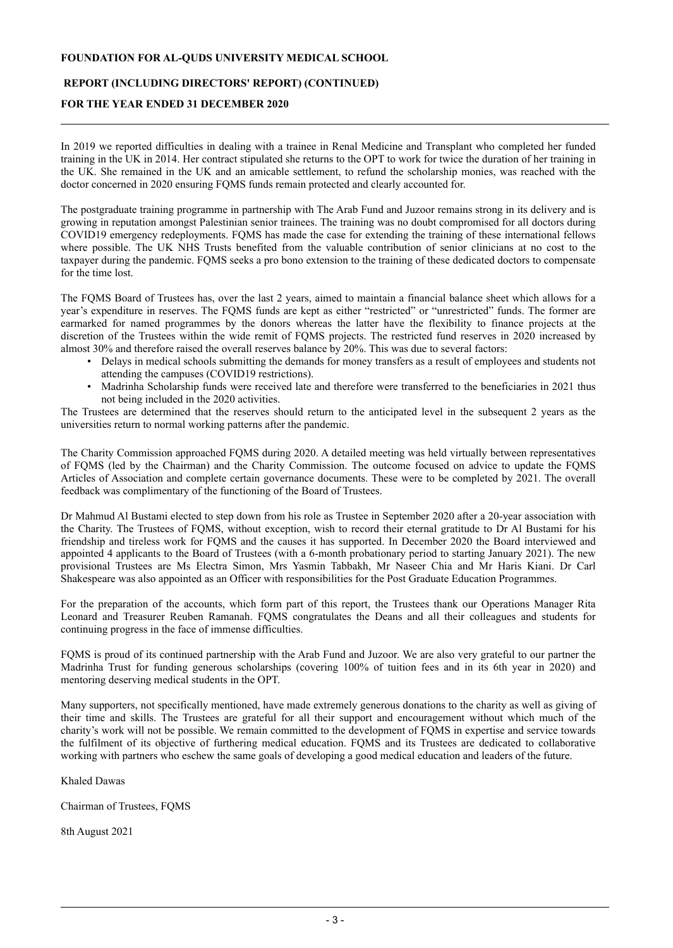# **REPORT (INCLUDING DIRECTORS' REPORT) (CONTINUED)**

# **FOR THE YEAR ENDED 31 DECEMBER 2020**

In 2019 we reported difficulties in dealing with a trainee in Renal Medicine and Transplant who completed her funded training in the UK in 2014. Her contract stipulated she returns to the OPT to work for twice the duration of her training in the UK. She remained in the UK and an amicable settlement, to refund the scholarship monies, was reached with the doctor concerned in 2020 ensuring FQMS funds remain protected and clearly accounted for.

The postgraduate training programme in partnership with The Arab Fund and Juzoor remains strong in its delivery and is growing in reputation amongst Palestinian senior trainees. The training was no doubt compromised for all doctors during COVID19 emergency redeployments. FQMS has made the case for extending the training of these international fellows where possible. The UK NHS Trusts benefited from the valuable contribution of senior clinicians at no cost to the taxpayer during the pandemic. FQMS seeks a pro bono extension to the training of these dedicated doctors to compensate for the time lost.

The FQMS Board of Trustees has, over the last 2 years, aimed to maintain a financial balance sheet which allows for a year's expenditure in reserves. The FQMS funds are kept as either "restricted" or "unrestricted" funds. The former are earmarked for named programmes by the donors whereas the latter have the flexibility to finance projects at the discretion of the Trustees within the wide remit of FQMS projects. The restricted fund reserves in 2020 increased by almost 30% and therefore raised the overall reserves balance by 20%. This was due to several factors:

- Delays in medical schools submitting the demands for money transfers as a result of employees and students not attending the campuses (COVID19 restrictions).
- Madrinha Scholarship funds were received late and therefore were transferred to the beneficiaries in 2021 thus not being included in the 2020 activities.

The Trustees are determined that the reserves should return to the anticipated level in the subsequent 2 years as the universities return to normal working patterns after the pandemic.

The Charity Commission approached FQMS during 2020. A detailed meeting was held virtually between representatives of FQMS (led by the Chairman) and the Charity Commission. The outcome focused on advice to update the FQMS Articles of Association and complete certain governance documents. These were to be completed by 2021. The overall feedback was complimentary of the functioning of the Board of Trustees.

Dr Mahmud Al Bustami elected to step down from his role as Trustee in September 2020 after a 20-year association with the Charity. The Trustees of FQMS, without exception, wish to record their eternal gratitude to Dr Al Bustami for his friendship and tireless work for FQMS and the causes it has supported. In December 2020 the Board interviewed and appointed 4 applicants to the Board of Trustees (with a 6-month probationary period to starting January 2021). The new provisional Trustees are Ms Electra Simon, Mrs Yasmin Tabbakh, Mr Naseer Chia and Mr Haris Kiani. Dr Carl Shakespeare was also appointed as an Officer with responsibilities for the Post Graduate Education Programmes.

For the preparation of the accounts, which form part of this report, the Trustees thank our Operations Manager Rita Leonard and Treasurer Reuben Ramanah. FQMS congratulates the Deans and all their colleagues and students for continuing progress in the face of immense difficulties.

FQMS is proud of its continued partnership with the Arab Fund and Juzoor. We are also very grateful to our partner the Madrinha Trust for funding generous scholarships (covering 100% of tuition fees and in its 6th year in 2020) and mentoring deserving medical students in the OPT.

Many supporters, not specifically mentioned, have made extremely generous donations to the charity as well as giving of their time and skills. The Trustees are grateful for all their support and encouragement without which much of the charity's work will not be possible. We remain committed to the development of FQMS in expertise and service towards the fulfilment of its objective of furthering medical education. FQMS and its Trustees are dedicated to collaborative working with partners who eschew the same goals of developing a good medical education and leaders of the future.

Khaled Dawas

Chairman of Trustees, FQMS

8th August 2021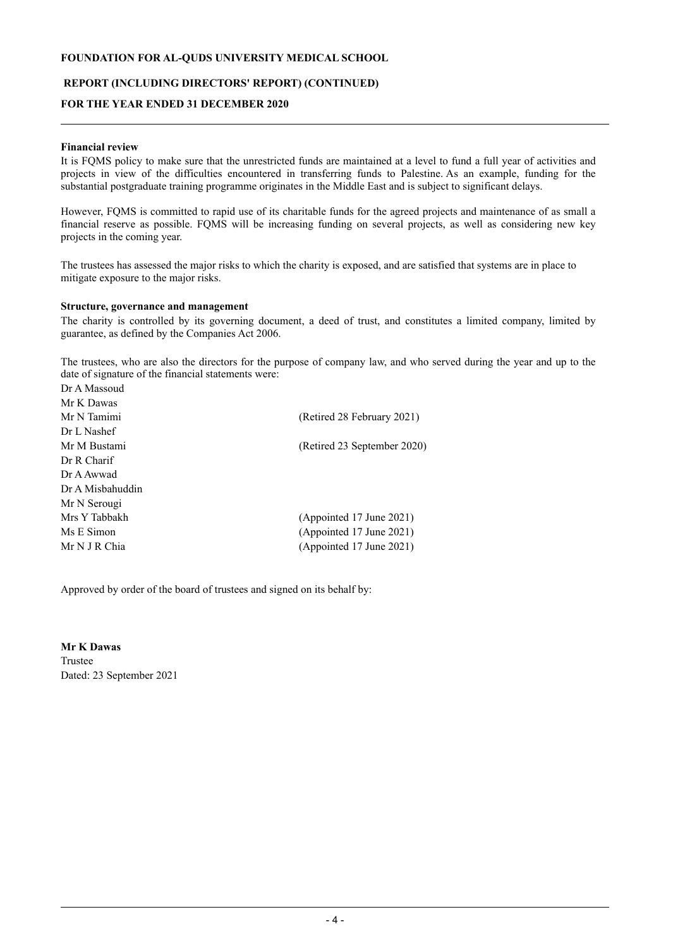# **REPORT (INCLUDING DIRECTORS' REPORT) (CONTINUED)**

# **FOR THE YEAR ENDED 31 DECEMBER 2020**

## **Financial review**

It is FQMS policy to make sure that the unrestricted funds are maintained at a level to fund a full year of activities and projects in view of the difficulties encountered in transferring funds to Palestine. As an example, funding for the substantial postgraduate training programme originates in the Middle East and is subject to significant delays.

However, FQMS is committed to rapid use of its charitable funds for the agreed projects and maintenance of as small a financial reserve as possible. FQMS will be increasing funding on several projects, as well as considering new key projects in the coming year.

The trustees has assessed the major risks to which the charity is exposed, and are satisfied that systems are in place to mitigate exposure to the major risks.

#### **Structure, governance and management**

The charity is controlled by its governing document, a deed of trust, and constitutes a limited company, limited by guarantee, as defined by the Companies Act 2006.

The trustees, who are also the directors for the purpose of company law, and who served during the year and up to the date of signature of the financial statements were:  $D_2$  A Mass

| <b>IJI A MASSOUG</b> |                             |
|----------------------|-----------------------------|
| Mr K Dawas           |                             |
| Mr N Tamimi          | (Retired 28 February 2021)  |
| Dr L Nashef          |                             |
| Mr M Bustami         | (Retired 23 September 2020) |
| Dr R Charif          |                             |
| Dr A Awwad           |                             |
| Dr A Misbahuddin     |                             |
| Mr N Serougi         |                             |
| Mrs Y Tabbakh        | (Appointed 17 June 2021)    |
| Ms E Simon           | (Appointed 17 June 2021)    |
| Mr N J R Chia        | (Appointed 17 June 2021)    |
|                      |                             |

Approved by order of the board of trustees and signed on its behalf by:

**Mr K Dawas** Trustee Dated: 23 September 2021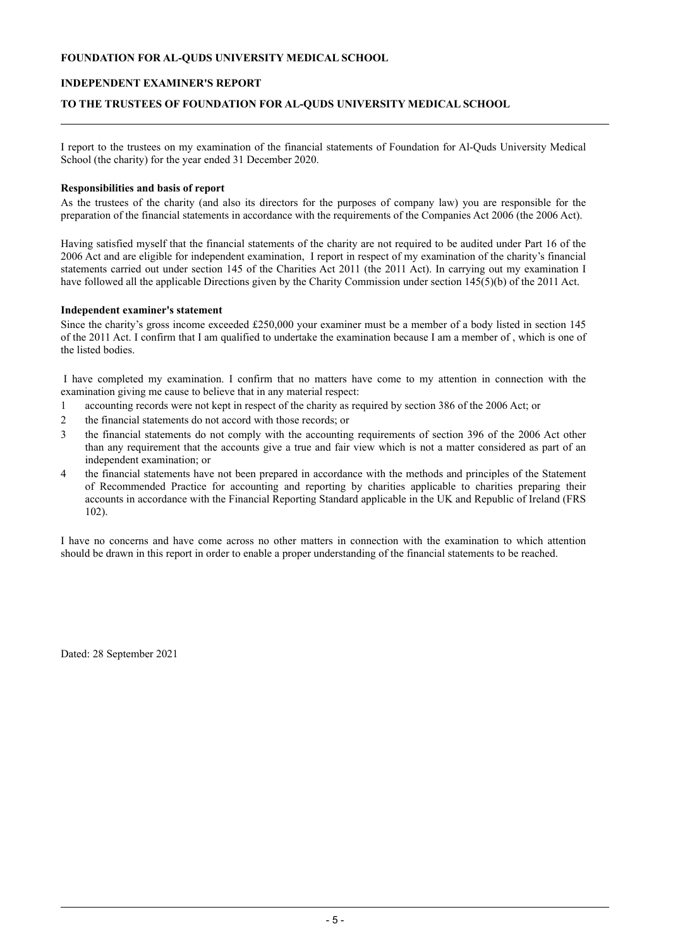# **INDEPENDENT EXAMINER'S REPORT**

## **TO THE TRUSTEES OF FOUNDATION FOR AL-QUDS UNIVERSITY MEDICAL SCHOOL**

I report to the trustees on my examination of the financial statements of Foundation for Al-Quds University Medical School (the charity) for the year ended 31 December 2020.

#### **Responsibilities and basis of report**

As the trustees of the charity (and also its directors for the purposes of company law) you are responsible for the preparation of the financial statements in accordance with the requirements of the Companies Act 2006 (the 2006 Act).

Having satisfied myself that the financial statements of the charity are not required to be audited under Part 16 of the 2006 Act and are eligible for independent examination, I report in respect of my examination of the charity's financial statements carried out under section 145 of the Charities Act 2011 (the 2011 Act). In carrying out my examination I have followed all the applicable Directions given by the Charity Commission under section 145(5)(b) of the 2011 Act.

#### **Independent examiner's statement**

Since the charity's gross income exceeded £250,000 your examiner must be a member of a body listed in section 145 of the 2011 Act. I confirm that I am qualified to undertake the examination because I am a member of , which is one of the listed bodies.

I have completed my examination. I confirm that no matters have come to my attention in connection with the examination giving me cause to believe that in any material respect:

- 1 accounting records were not kept in respect of the charity as required by section 386 of the 2006 Act; or
- 2 the financial statements do not accord with those records; or
- 3 the financial statements do not comply with the accounting requirements of section 396 of the 2006 Act other than any requirement that the accounts give a true and fair view which is not a matter considered as part of an independent examination; or
- 4 the financial statements have not been prepared in accordance with the methods and principles of the Statement of Recommended Practice for accounting and reporting by charities applicable to charities preparing their accounts in accordance with the Financial Reporting Standard applicable in the UK and Republic of Ireland (FRS 102).

I have no concerns and have come across no other matters in connection with the examination to which attention should be drawn in this report in order to enable a proper understanding of the financial statements to be reached.

Dated: 28 September 2021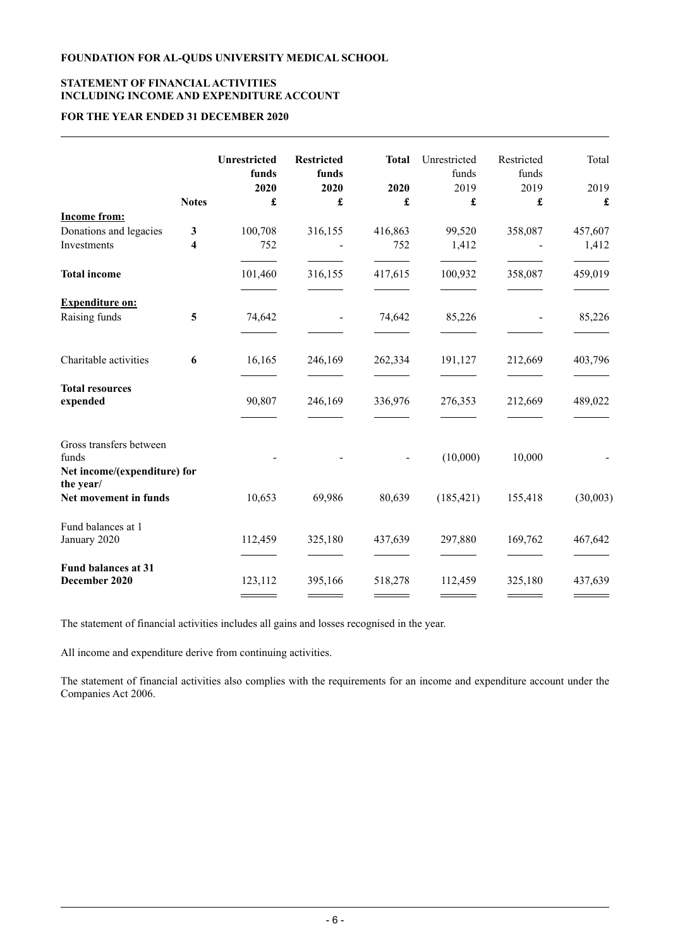# **STATEMENT OF FINANCIALACTIVITIES INCLUDING INCOME AND EXPENDITURE ACCOUNT**

# **FOR THE YEAR ENDED 31 DECEMBER 2020**

|                                                                  | <b>Notes</b> | <b>Unrestricted</b><br>funds<br>2020<br>£ | <b>Restricted</b><br>funds<br>2020<br>£ | <b>Total</b><br>2020<br>£ | Unrestricted<br>funds<br>2019<br>£ | Restricted<br>funds<br>2019<br>£ | Total<br>2019<br>$\pmb{\mathfrak{L}}$ |
|------------------------------------------------------------------|--------------|-------------------------------------------|-----------------------------------------|---------------------------|------------------------------------|----------------------------------|---------------------------------------|
| <b>Income from:</b>                                              |              |                                           |                                         |                           |                                    |                                  |                                       |
| Donations and legacies                                           | $\mathbf{3}$ | 100,708                                   | 316,155                                 | 416,863                   | 99,520                             | 358,087                          | 457,607                               |
| Investments                                                      | 4            | 752                                       |                                         | 752                       | 1,412                              |                                  | 1,412                                 |
| <b>Total income</b>                                              |              | 101,460                                   | 316,155                                 | 417,615                   | 100,932                            | 358,087                          | 459,019                               |
| <b>Expenditure on:</b>                                           |              |                                           |                                         |                           |                                    |                                  |                                       |
| Raising funds                                                    | 5            | 74,642                                    |                                         | 74,642                    | 85,226                             |                                  | 85,226                                |
| Charitable activities                                            | 6            | 16,165                                    | 246,169                                 | 262,334                   | 191,127                            | 212,669                          | 403,796                               |
| <b>Total resources</b><br>expended                               |              | 90,807                                    | 246,169                                 | 336,976                   | 276,353                            | 212,669                          | 489,022                               |
| Gross transfers between<br>funds<br>Net income/(expenditure) for |              |                                           |                                         |                           | (10,000)                           | 10,000                           |                                       |
| the year/<br>Net movement in funds                               |              | 10,653                                    | 69,986                                  | 80,639                    | (185, 421)                         | 155,418                          | (30,003)                              |
| Fund balances at 1<br>January 2020                               |              | 112,459                                   | 325,180                                 | 437,639                   | 297,880                            | 169,762                          | 467,642                               |
| <b>Fund balances at 31</b><br>December 2020                      |              | 123,112                                   | 395,166                                 | 518,278                   | 112,459                            | 325,180                          | 437,639                               |

The statement of financial activities includes all gains and losses recognised in the year.

All income and expenditure derive from continuing activities.

The statement of financial activities also complies with the requirements for an income and expenditure account under the Companies Act 2006.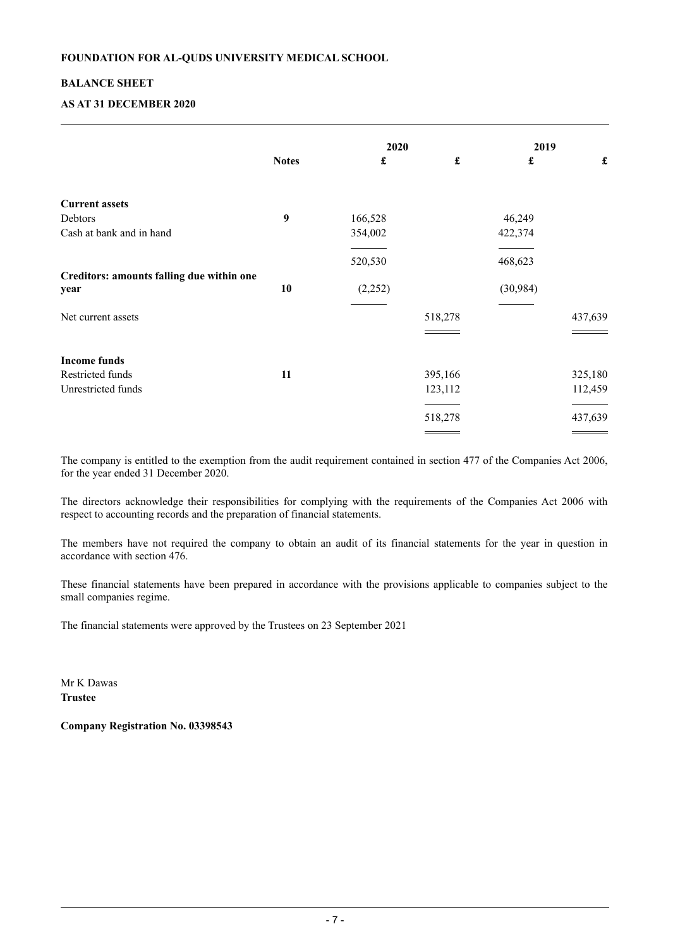# **BALANCE SHEET**

# **AS AT 31 DECEMBER 2020**

|                                           |              | 2020                 |                    | 2019               |                    |
|-------------------------------------------|--------------|----------------------|--------------------|--------------------|--------------------|
|                                           | <b>Notes</b> | $\pmb{\mathfrak{L}}$ | $\pmb{\mathbf{f}}$ | $\pmb{\mathbf{f}}$ | $\pmb{\mathbf{f}}$ |
| <b>Current assets</b>                     |              |                      |                    |                    |                    |
| Debtors                                   | 9            | 166,528              |                    | 46,249             |                    |
| Cash at bank and in hand                  |              | 354,002              |                    | 422,374            |                    |
|                                           |              | 520,530              |                    | 468,623            |                    |
| Creditors: amounts falling due within one |              |                      |                    |                    |                    |
| year                                      | 10           | (2,252)              |                    | (30, 984)          |                    |
| Net current assets                        |              |                      | 518,278            |                    | 437,639            |
| <b>Income funds</b>                       |              |                      |                    |                    |                    |
| Restricted funds                          | 11           |                      | 395,166            |                    | 325,180            |
| Unrestricted funds                        |              |                      | 123,112            |                    | 112,459            |
|                                           |              |                      | 518,278            |                    | 437,639            |
|                                           |              |                      |                    |                    |                    |

The company is entitled to the exemption from the audit requirement contained in section 477 of the Companies Act 2006, for the year ended 31 December 2020.

The directors acknowledge their responsibilities for complying with the requirements of the Companies Act 2006 with respect to accounting records and the preparation of financial statements.

The members have not required the company to obtain an audit of its financial statements for the year in question in accordance with section 476.

These financial statements have been prepared in accordance with the provisions applicable to companies subject to the small companies regime.

The financial statements were approved by the Trustees on 23 September 2021

Mr K Dawas **Trustee**

**Company Registration No. 03398543**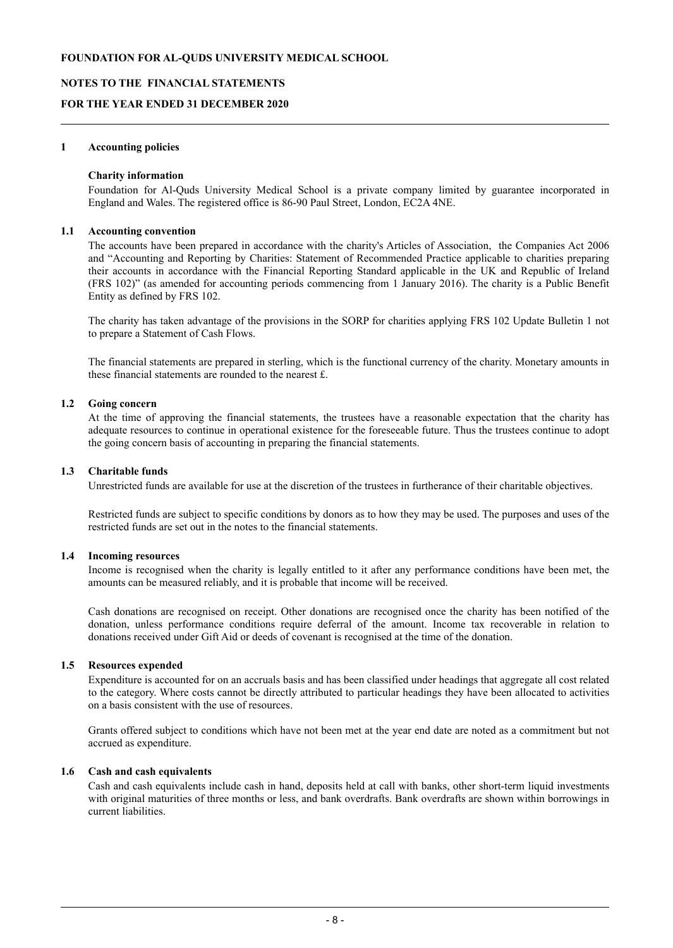#### **NOTES TO THE FINANCIAL STATEMENTS**

#### **FOR THE YEAR ENDED 31 DECEMBER 2020**

#### **1 Accounting policies**

#### **Charity information**

Foundation for Al-Quds University Medical School is a private company limited by guarantee incorporated in England and Wales. The registered office is 86-90 Paul Street, London, EC2A 4NE.

#### **1.1 Accounting convention**

The accounts have been prepared in accordance with the charity's Articles of Association, the Companies Act 2006 and "Accounting and Reporting by Charities: Statement of Recommended Practice applicable to charities preparing their accounts in accordance with the Financial Reporting Standard applicable in the UK and Republic of Ireland (FRS 102)" (as amended for accounting periods commencing from 1 January 2016). The charity is a Public Benefit Entity as defined by FRS 102.

The charity has taken advantage of the provisions in the SORP for charities applying FRS 102 Update Bulletin 1 not to prepare a Statement of Cash Flows.

The financial statements are prepared in sterling, which is the functional currency of the charity. Monetary amounts in these financial statements are rounded to the nearest £.

#### **1.2 Going concern**

At the time of approving the financial statements, the trustees have a reasonable expectation that the charity has adequate resources to continue in operational existence for the foreseeable future. Thus the trustees continue to adopt the going concern basis of accounting in preparing the financial statements.

#### **1.3 Charitable funds**

Unrestricted funds are available for use at the discretion of the trustees in furtherance of their charitable objectives.

Restricted funds are subject to specific conditions by donors as to how they may be used. The purposes and uses of the restricted funds are set out in the notes to the financial statements.

#### **1.4 Incoming resources**

Income is recognised when the charity is legally entitled to it after any performance conditions have been met, the amounts can be measured reliably, and it is probable that income will be received.

Cash donations are recognised on receipt. Other donations are recognised once the charity has been notified of the donation, unless performance conditions require deferral of the amount. Income tax recoverable in relation to donations received under Gift Aid or deeds of covenant is recognised at the time of the donation.

### **1.5 Resources expended**

Expenditure is accounted for on an accruals basis and has been classified under headings that aggregate all cost related to the category. Where costs cannot be directly attributed to particular headings they have been allocated to activities on a basis consistent with the use of resources.

Grants offered subject to conditions which have not been met at the year end date are noted as a commitment but not accrued as expenditure.

# **1.6 Cash and cash equivalents**

Cash and cash equivalents include cash in hand, deposits held at call with banks, other short-term liquid investments with original maturities of three months or less, and bank overdrafts. Bank overdrafts are shown within borrowings in current liabilities.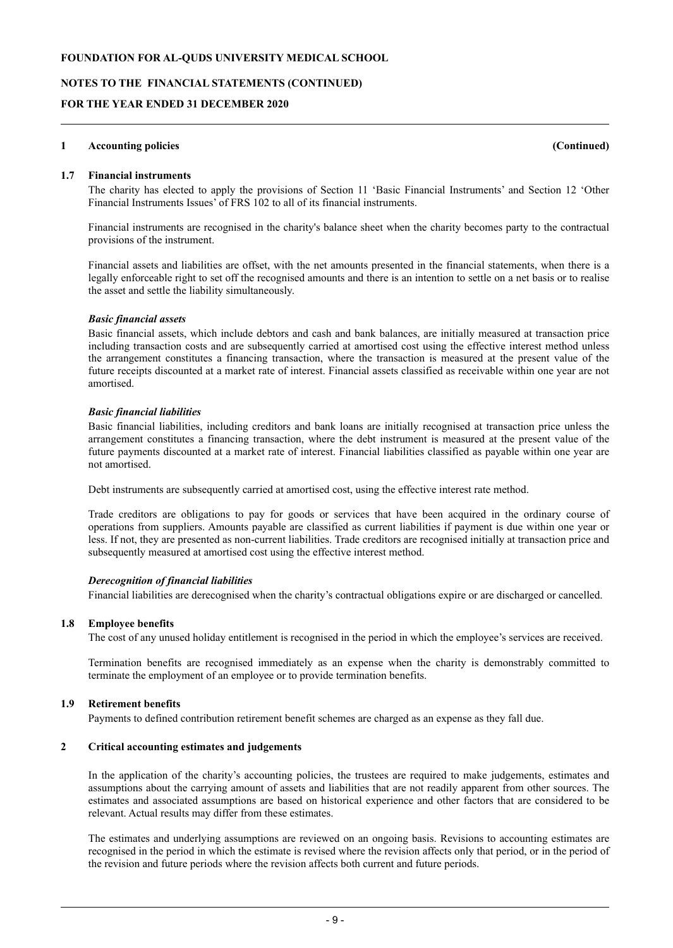**NOTES TO THE FINANCIAL STATEMENTS (CONTINUED)**

### **FOR THE YEAR ENDED 31 DECEMBER 2020**

#### **1 Accounting policies (Continued)**

#### **1.7 Financial instruments**

The charity has elected to apply the provisions of Section 11 'Basic Financial Instruments' and Section 12 'Other Financial Instruments Issues' of FRS 102 to all of its financial instruments.

Financial instruments are recognised in the charity's balance sheet when the charity becomes party to the contractual provisions of the instrument.

Financial assets and liabilities are offset, with the net amounts presented in the financial statements, when there is a legally enforceable right to set off the recognised amounts and there is an intention to settle on a net basis or to realise the asset and settle the liability simultaneously.

#### *Basic financial assets*

Basic financial assets, which include debtors and cash and bank balances, are initially measured at transaction price including transaction costs and are subsequently carried at amortised cost using the effective interest method unless the arrangement constitutes a financing transaction, where the transaction is measured at the present value of the future receipts discounted at a market rate of interest. Financial assets classified as receivable within one year are not amortised.

#### *Basic financial liabilities*

Basic financial liabilities, including creditors and bank loans are initially recognised at transaction price unless the arrangement constitutes a financing transaction, where the debt instrument is measured at the present value of the future payments discounted at a market rate of interest. Financial liabilities classified as payable within one year are not amortised.

Debt instruments are subsequently carried at amortised cost, using the effective interest rate method.

Trade creditors are obligations to pay for goods or services that have been acquired in the ordinary course of operations from suppliers. Amounts payable are classified as current liabilities if payment is due within one year or less. If not, they are presented as non-current liabilities. Trade creditors are recognised initially at transaction price and subsequently measured at amortised cost using the effective interest method.

#### *Derecognition of financial liabilities*

Financial liabilities are derecognised when the charity's contractual obligations expire or are discharged or cancelled.

#### **1.8 Employee benefits**

The cost of any unused holiday entitlement is recognised in the period in which the employee's services are received.

Termination benefits are recognised immediately as an expense when the charity is demonstrably committed to terminate the employment of an employee or to provide termination benefits.

#### **1.9 Retirement benefits**

Payments to defined contribution retirement benefit schemes are charged as an expense as they fall due.

# **2 Critical accounting estimates and judgements**

In the application of the charity's accounting policies, the trustees are required to make judgements, estimates and assumptions about the carrying amount of assets and liabilities that are not readily apparent from other sources. The estimates and associated assumptions are based on historical experience and other factors that are considered to be relevant. Actual results may differ from these estimates.

The estimates and underlying assumptions are reviewed on an ongoing basis. Revisions to accounting estimates are recognised in the period in which the estimate is revised where the revision affects only that period, or in the period of the revision and future periods where the revision affects both current and future periods.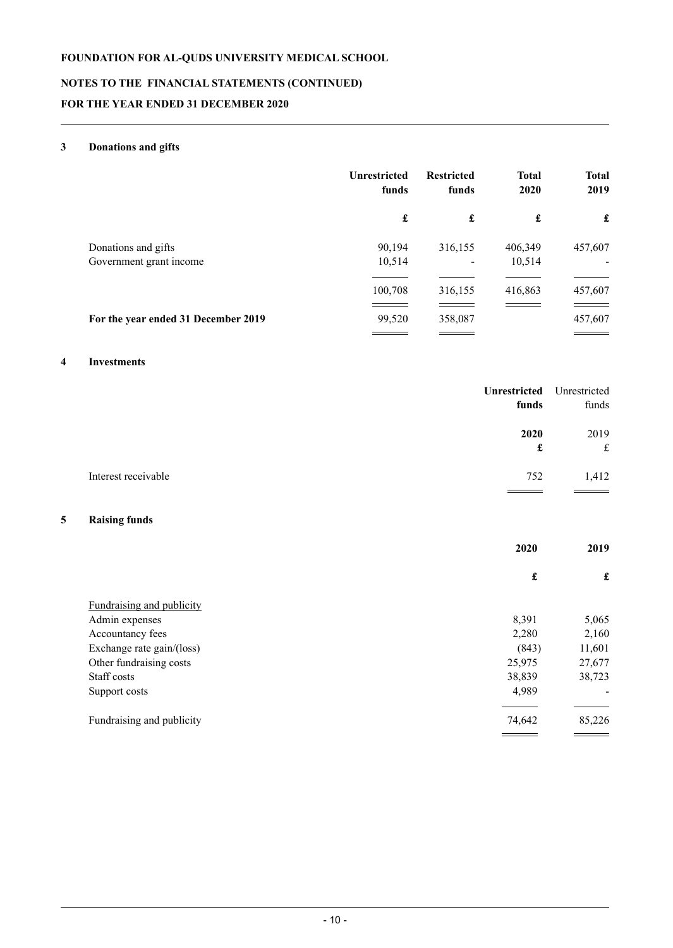# **NOTES TO THE FINANCIAL STATEMENTS (CONTINUED)**

# **FOR THE YEAR ENDED 31 DECEMBER 2020**

# **3 Donations and gifts**

|                                                | <b>Unrestricted</b><br>funds | <b>Restricted</b><br>funds          | <b>Total</b><br>2020 | <b>Total</b><br>2019                    |
|------------------------------------------------|------------------------------|-------------------------------------|----------------------|-----------------------------------------|
|                                                | £                            | £                                   | £                    | £                                       |
| Donations and gifts<br>Government grant income | 90,194<br>10,514             | 316,155<br>$\overline{\phantom{a}}$ | 406,349<br>10,514    | 457,607<br>$\qquad \qquad \blacksquare$ |
|                                                | 100,708                      | 316,155                             | 416,863              | 457,607                                 |
| For the year ended 31 December 2019            | 99,520                       | 358,087                             |                      | 457,607                                 |

# **4 Investments**

|   |                           | <b>Unrestricted</b><br>funds | Unrestricted<br>funds |
|---|---------------------------|------------------------------|-----------------------|
|   |                           | 2020                         | 2019                  |
|   |                           | £                            | $\pounds$             |
|   | Interest receivable       | 752                          | 1,412                 |
|   |                           |                              |                       |
| 5 | <b>Raising funds</b>      |                              |                       |
|   |                           | 2020                         | 2019                  |
|   |                           | $\pmb{\mathfrak{L}}$         | $\pmb{\mathbf{f}}$    |
|   | Fundraising and publicity |                              |                       |
|   | Admin expenses            | 8,391                        | 5,065                 |
|   | Accountancy fees          | 2,280                        | 2,160                 |
|   | Exchange rate gain/(loss) | (843)                        | 11,601                |
|   | Other fundraising costs   | 25,975                       | 27,677                |
|   | Staff costs               | 38,839                       | 38,723                |
|   | Support costs             | 4,989                        |                       |
|   | Fundraising and publicity | 74,642                       | 85,226                |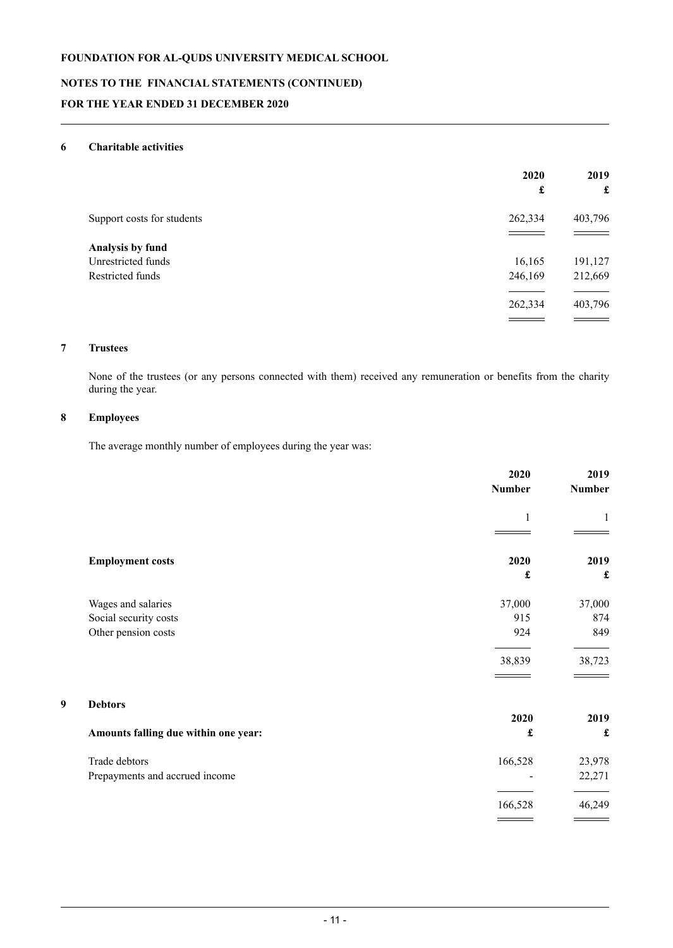# **NOTES TO THE FINANCIAL STATEMENTS (CONTINUED) FOR THE YEAR ENDED 31 DECEMBER 2020**

# **6 Charitable activities**

|                            | 2020<br>£ | 2019<br>$\mathbf f$ |
|----------------------------|-----------|---------------------|
| Support costs for students | 262,334   | 403,796             |
| Analysis by fund           |           |                     |
| Unrestricted funds         | 16,165    | 191,127             |
| Restricted funds           | 246,169   | 212,669             |
|                            | 262,334   | 403,796             |
|                            |           |                     |

# **7 Trustees**

None of the trustees (or any persons connected with them) received any remuneration or benefits from the charity during the year.

# **8 Employees**

The average monthly number of employees during the year was:

|                                      | 2020<br><b>Number</b> | 2019<br><b>Number</b> |
|--------------------------------------|-----------------------|-----------------------|
|                                      | $\mathbf{1}$          | 1                     |
|                                      |                       |                       |
| <b>Employment costs</b>              | 2020                  | 2019                  |
|                                      | $\pmb{\mathbf{f}}$    | £                     |
| Wages and salaries                   | 37,000                | 37,000                |
| Social security costs                | 915                   | 874                   |
| Other pension costs                  | 924                   | 849                   |
|                                      | 38,839                | 38,723                |
| 9<br><b>Debtors</b>                  |                       |                       |
|                                      | 2020                  | 2019                  |
| Amounts falling due within one year: | $\pmb{\mathbf{f}}$    | £                     |
| Trade debtors                        | 166,528               | 23,978                |
| Prepayments and accrued income       |                       | 22,271                |
|                                      | 166,528               | 46,249                |
|                                      |                       |                       |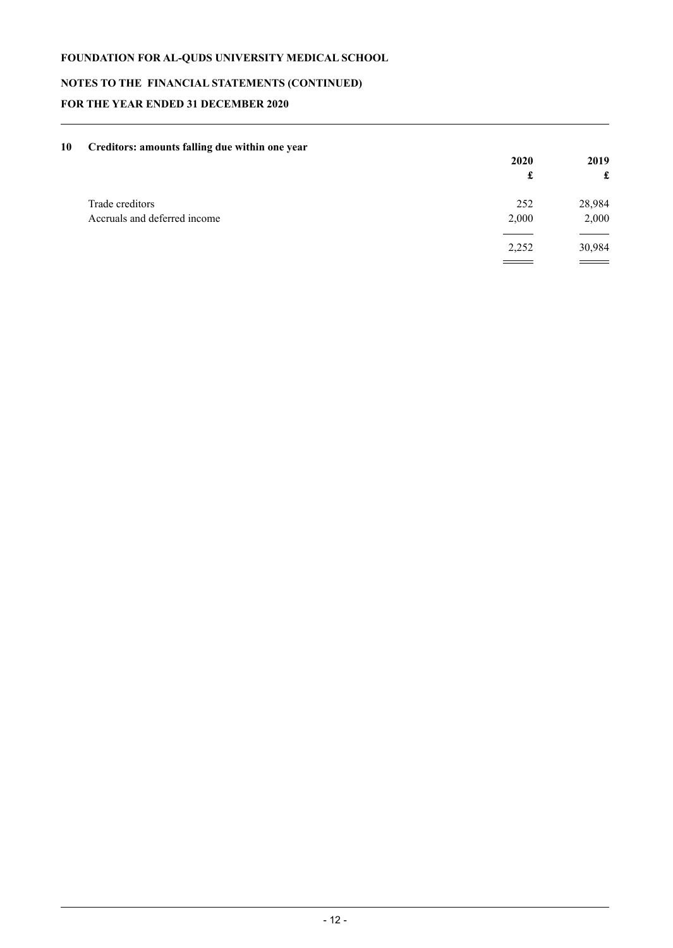# **NOTES TO THE FINANCIAL STATEMENTS (CONTINUED)**

# **FOR THE YEAR ENDED 31 DECEMBER 2020**

| 10 | Creditors: amounts falling due within one year |       |        |
|----|------------------------------------------------|-------|--------|
|    |                                                | 2020  | 2019   |
|    |                                                | £     | £      |
|    | Trade creditors                                | 252   | 28,984 |
|    | Accruals and deferred income                   | 2,000 | 2,000  |
|    |                                                | 2,252 | 30,984 |
|    |                                                |       |        |